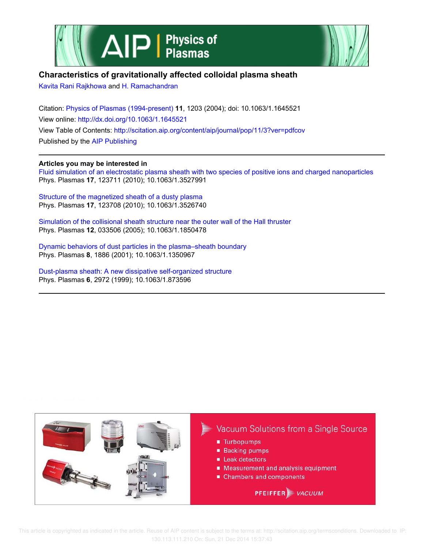



## **Characteristics of gravitationally affected colloidal plasma sheath**

Kavita Rani Rajkhowa and H. Ramachandran

Citation: Physics of Plasmas (1994-present) **11**, 1203 (2004); doi: 10.1063/1.1645521 View online: http://dx.doi.org/10.1063/1.1645521 View Table of Contents: http://scitation.aip.org/content/aip/journal/pop/11/3?ver=pdfcov Published by the AIP Publishing

## **Articles you may be interested in**

Fluid simulation of an electrostatic plasma sheath with two species of positive ions and charged nanoparticles Phys. Plasmas **17**, 123711 (2010); 10.1063/1.3527991

Structure of the magnetized sheath of a dusty plasma Phys. Plasmas **17**, 123708 (2010); 10.1063/1.3526740

Simulation of the collisional sheath structure near the outer wall of the Hall thruster Phys. Plasmas **12**, 033506 (2005); 10.1063/1.1850478

Dynamic behaviors of dust particles in the plasma–sheath boundary Phys. Plasmas **8**, 1886 (2001); 10.1063/1.1350967

Dust-plasma sheath: A new dissipative self-organized structure Phys. Plasmas **6**, 2972 (1999); 10.1063/1.873596

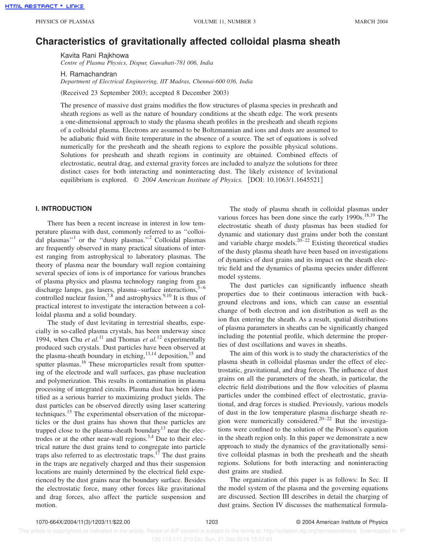# **Characteristics of gravitationally affected colloidal plasma sheath**

Kavita Rani Rajkhowa *Centre of Plasma Physics, Dispur, Guwahati-781 006, India*

H. Ramachandran

*Department of Electrical Engineering, IIT Madras, Chennai-600 036, India*

(Received 23 September 2003; accepted 8 December 2003)

The presence of massive dust grains modifies the flow structures of plasma species in presheath and sheath regions as well as the nature of boundary conditions at the sheath edge. The work presents a one-dimensional approach to study the plasma sheath profiles in the presheath and sheath regions of a colloidal plasma. Electrons are assumed to be Boltzmannian and ions and dusts are assumed to be adiabatic fluid with finite temperature in the absence of a source. The set of equations is solved numerically for the presheath and the sheath regions to explore the possible physical solutions. Solutions for presheath and sheath regions in continuity are obtained. Combined effects of electrostatic, neutral drag, and external gravity forces are included to analyze the solutions for three distinct cases for both interacting and noninteracting dust. The likely existence of levitational equilibrium is explored.  $\odot$  2004 American Institute of Physics. [DOI: 10.1063/1.1645521]

#### **I. INTRODUCTION**

There has been a recent increase in interest in low temperature plasma with dust, commonly referred to as ''colloidal plasmas"<sup>1</sup> or the "dusty plasmas."<sup>2</sup> Colloidal plasmas are frequently observed in many practical situations of interest ranging from astrophysical to laboratory plasmas. The theory of plasma near the boundary wall region containing several species of ions is of importance for various branches of plasma physics and plasma technology ranging from gas discharge lamps, gas lasers, plasma–surface interactions, $3-6$ controlled nuclear fusion,<sup>7,8</sup> and astrophysics.<sup>9,10</sup> It is thus of practical interest to investigate the interaction between a colloidal plasma and a solid boundary.

The study of dust levitating in terrestrial sheaths, especially in so-called plasma crystals, has been underway since 1994, when Chu *et al.*<sup>11</sup> and Thomas *et al.*<sup>12</sup> experimentally produced such crystals. Dust particles have been observed at the plasma-sheath boundary in etching,  $13,14$  deposition,  $15$  and sputter plasmas.<sup>16</sup> These microparticles result from sputtering of the electrode and wall surfaces, gas phase nucleation and polymerization. This results in contamination in plasma processing of integrated circuits. Plasma dust has been identified as a serious barrier to maximizing product yields. The dust particles can be observed directly using laser scattering techniques.<sup>15</sup> The experimental observation of the microparticles or the dust grains has shown that these particles are trapped close to the plasma-sheath boundary $13$  near the electrodes or at the other near-wall regions. $3,4$  Due to their electrical nature the dust grains tend to congregate into particle traps also referred to as electrostatic traps. $17$  The dust grains in the traps are negatively charged and thus their suspension locations are mainly determined by the electrical field experienced by the dust grains near the boundary surface. Besides the electrostatic force, many other forces like gravitational and drag forces, also affect the particle suspension and motion.

The study of plasma sheath in colloidal plasmas under various forces has been done since the early  $1990s$ .<sup>18,19</sup> The electrostatic sheath of dusty plasmas has been studied for dynamic and stationary dust grains under both the constant and variable charge models.<sup>20–22</sup> Existing theoretical studies of the dusty plasma sheath have been based on investigations of dynamics of dust grains and its impact on the sheath electric field and the dynamics of plasma species under different model systems.

The dust particles can significantly influence sheath properties due to their continuous interaction with background electrons and ions, which can cause an essential change of both electron and ion distribution as well as the ion flux entering the sheath. As a result, spatial distributions of plasma parameters in sheaths can be significantly changed including the potential profile, which determine the properties of dust oscillations and waves in sheaths.

The aim of this work is to study the characteristics of the plasma sheath in colloidal plasmas under the effect of electrostatic, gravitational, and drag forces. The influence of dust grains on all the parameters of the sheath, in particular, the electric field distributions and the flow velocities of plasma particles under the combined effect of electrostatic, graviational, and drag forces is studied. Previously, various models of dust in the low temperature plasma discharge sheath region were numerically considered.<sup>20–22</sup> But the investigations were confined to the solution of the Poisson's equation in the sheath region only. In this paper we demonstrate a new approach to study the dynamics of the gravitationally sensitive colloidal plasmas in both the presheath and the sheath regions. Solutions for both interacting and noninteracting dust grains are studied.

The organization of this paper is as follows: In Sec. II the model system of the plasma and the governing equations are discussed. Section III describes in detail the charging of dust grains. Section IV discusses the mathematical formula-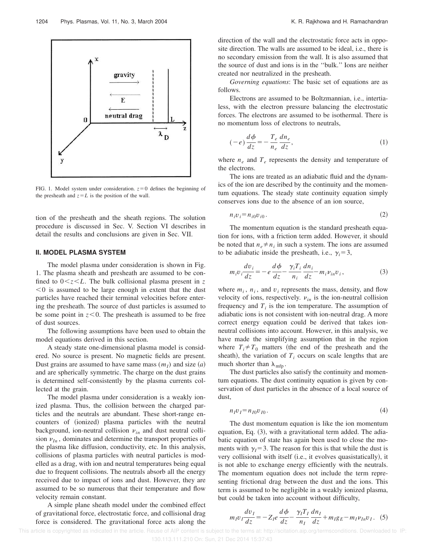

FIG. 1. Model system under consideration.  $z=0$  defines the beginning of the presheath and  $z = L$  is the position of the wall.

tion of the presheath and the sheath regions. The solution procedure is discussed in Sec. V. Section VI describes in detail the results and conclusions are given in Sec. VII.

#### **II. MODEL PLASMA SYSTEM**

The model plasma under consideration is shown in Fig. 1. The plasma sheath and presheath are assumed to be confined to  $0 \lt z \lt L$ . The bulk collisional plasma present in *z*  $<$ 0 is assumed to be large enough in extent that the dust particles have reached their terminal velocities before entering the presheath. The source of dust particles is assumed to be some point in  $z < 0$ . The presheath is assumed to be free of dust sources.

The following assumptions have been used to obtain the model equations derived in this section.

A steady state one-dimensional plasma model is considered. No source is present. No magnetic fields are present. Dust grains are assumed to have same mass  $(m<sub>I</sub>)$  and size  $(a)$ and are spherically symmetric. The charge on the dust grains is determined self-consistently by the plasma currents collected at the grain.

The model plasma under consideration is a weakly ionized plasma. Thus, the collision between the charged particles and the neutrals are abundant. These short-range encounters of (ionized) plasma particles with the neutral background, ion-neutral collision  $\nu_{in}$  and dust neutral collision  $\nu_{In}$ , dominates and determine the transport properties of the plasma like diffusion, conductivity, etc. In this analysis, collisions of plasma particles with neutral particles is modelled as a drag, with ion and neutral temperatures being equal due to frequent collisions. The neutrals absorb all the energy received due to impact of ions and dust. However, they are assumed to be so numerous that their temperature and flow velocity remain constant.

A simple plane sheath model under the combined effect of gravitational force, electrostatic force, and collisional drag force is considered. The gravitational force acts along the direction of the wall and the electrostatic force acts in opposite direction. The walls are assumed to be ideal, i.e., there is no secondary emission from the wall. It is also assumed that the source of dust and ions is in the ''bulk.'' Ions are neither created nor neutralized in the presheath.

*Governing equations*: The basic set of equations are as follows.

Electrons are assumed to be Boltzmannian, i.e., intertialess, with the electron pressure balancing the electrostatic forces. The electrons are assumed to be isothermal. There is no momentum loss of electrons to neutrals,

$$
(-e)\frac{d\phi}{dz} = -\frac{T_e}{n_e}\frac{dn_e}{dz},\tag{1}
$$

where  $n_e$  and  $T_e$  represents the density and temperature of the electrons.

The ions are treated as an adiabatic fluid and the dynamics of the ion are described by the continuity and the momentum equations. The steady state continuity equation simply conserves ions due to the absence of an ion source,

$$
n_i v_i = n_{i0} v_{i0}.
$$
\n<sup>(2)</sup>

The momentum equation is the standard presheath equation for ions, with a friction term added. However, it should be noted that  $n_e \neq n_i$  in such a system. The ions are assumed to be adiabatic inside the presheath, i.e.,  $\gamma_i = 3$ ,

$$
m_i v_i \frac{dv_i}{dz} = -e \frac{d\phi}{dz} - \frac{\gamma_i T_i}{n_i} \frac{dn_i}{dz} - m_i \nu_{in} v_i, \qquad (3)
$$

where  $m_i$ ,  $n_i$ , and  $v_i$  represents the mass, density, and flow velocity of ions, respectively.  $v_{in}$  is the ion-neutral collision frequency and  $T_i$  is the ion temperature. The assumption of adiabatic ions is not consistent with ion-neutral drag. A more correct energy equation could be derived that takes ionneutral collisions into account. However, in this analysis, we have made the simplifying assumption that in the region where  $T_i \neq T_0$  matters (the end of the presheath and the sheath), the variation of  $T_i$  occurs on scale lengths that are much shorter than  $\lambda_{\text{mfp}}$ .

The dust particles also satisfy the continuity and momentum equations. The dust continuity equation is given by conservation of dust particles in the absence of a local source of dust,

$$
n_I v_I = n_{I0} v_{I0} \,. \tag{4}
$$

The dust momentum equation is like the ion momentum equation, Eq.  $(3)$ , with a gravitational term added. The adiabatic equation of state has again been used to close the moments with  $\gamma$ <sup>1</sup> = 3. The reason for this is that while the dust is very collisional with itself (i.e., it evolves quasistatically), it is not able to exchange energy efficiently with the neutrals. The momentum equation does not include the term representing frictional drag between the dust and the ions. This term is assumed to be negligible in a weakly ionized plasma, but could be taken into account without difficulty,

$$
m_I v_I \frac{dv_I}{dz} = -Z_I e \frac{d\phi}{dz} - \frac{\gamma_I T_I}{n_I} \frac{dn_I}{dz} + m_I g_E - m_I v_{In} v_I.
$$
 (5)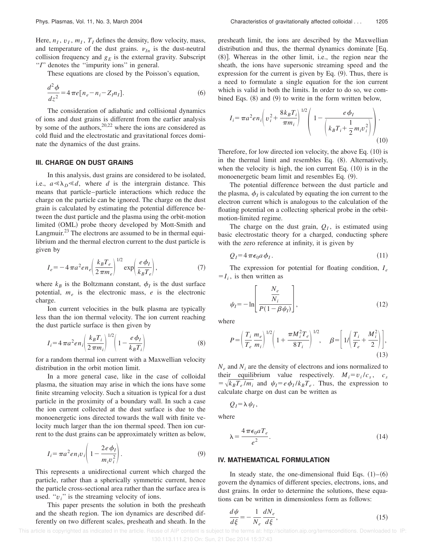Here,  $n_I$ ,  $v_I$ ,  $m_I$ ,  $T_I$  defines the density, flow velocity, mass, and temperature of the dust grains.  $v_{In}$  is the dust-neutral collision frequency and  $g_E$  is the external gravity. Subscript "*I*" denotes the "impurity ions" in general.

These equations are closed by the Poisson's equation,

$$
\frac{d^2\phi}{dz^2} = 4\pi e[n_e - n_i - Z_l n_l].
$$
 (6)

The consideration of adiabatic and collisional dynamics of ions and dust grains is different from the earlier analysis by some of the authors,  $20.22$  where the ions are considered as cold fluid and the electrostatic and gravitational forces dominate the dynamics of the dust grains.

#### **III. CHARGE ON DUST GRAINS**

In this analysis, dust grains are considered to be isolated, i.e.,  $a \ll \lambda_D \ll d$ , where *d* is the intergrain distance. This means that particle–particle interactions which reduce the charge on the particle can be ignored. The charge on the dust grain is calculated by estimating the potential difference between the dust particle and the plasma using the orbit-motion limited (OML) probe theory developed by Mott-Smith and Langmuir.<sup>23</sup> The electrons are assumed to be in thermal equilibrium and the thermal electron current to the dust particle is given by

$$
I_e = -4\pi a^2 e n_e \left(\frac{k_B T_e}{2\pi m_e}\right)^{1/2} \exp\left(\frac{e \phi_I}{k_B T_e}\right),\tag{7}
$$

where  $k_B$  is the Boltzmann constant,  $\phi_I$  is the dust surface potential, *m<sup>e</sup>* is the electronic mass, *e* is the electronic charge.

Ion current velocities in the bulk plasma are typically less than the ion thermal velocity. The ion current reaching the dust particle surface is then given by

$$
I_i = 4\pi a^2 en_i \left(\frac{k_B T_i}{2\pi m_i}\right)^{1/2} \left(1 - \frac{e\,\phi_I}{k_B T_i}\right) \tag{8}
$$

for a random thermal ion current with a Maxwellian velocity distribution in the orbit motion limit.

In a more general case, like in the case of colloidal plasma, the situation may arise in which the ions have some finite streaming velocity. Such a situation is typical for a dust particle in the proximity of a boundary wall. In such a case the ion current collected at the dust surface is due to the monoenergetic ions directed towards the wall with finite velocity much larger than the ion thermal speed. Then ion current to the dust grains can be approximately written as below,

$$
I_i = \pi a^2 e n_i v_i \left( 1 - \frac{2e \phi_I}{m_i v_i^2} \right).
$$
 (9)

This represents a unidirectional current which charged the particle, rather than a spherically symmetric current, hence the particle cross-sectional area rather than the surface area is used. " $v_i$ " is the streaming velocity of ions.

This paper presents the solution in both the presheath and the sheath region. The ion dynamics are described differently on two different scales, presheath and sheath. In the presheath limit, the ions are described by the Maxwellian distribution and thus, the thermal dynamics dominate [Eq.  $(8)$ ]. Whereas in the other limit, i.e., the region near the sheath, the ions have supersonic streaming speed and the expression for the current is given by Eq.  $(9)$ . Thus, there is a need to formulate a single equation for the ion current which is valid in both the limits. In order to do so, we combined Eqs.  $(8)$  and  $(9)$  to write in the form written below,

$$
I_i = \pi a^2 e n_i \left( v_i^2 + \frac{8 k_B T_i}{\pi m_i} \right)^{1/2} \left( 1 - \frac{e \phi_I}{\left( k_B T_i + \frac{1}{2} m_i v_i^2 \right)} \right). \tag{10}
$$

Therefore, for low directed ion velocity, the above Eq.  $(10)$  is in the thermal limit and resembles Eq.  $(8)$ . Alternatively, when the velocity is high, the ion current Eq.  $(10)$  is in the monoenergetic beam limit and resembles Eq.  $(9)$ .

The potential difference between the dust particle and the plasma,  $\phi_I$  is calculated by equating the ion current to the electron current which is analogous to the calculation of the floating potential on a collecting spherical probe in the orbitmotion-limited regime.

The charge on the dust grain,  $Q_I$ , is estimated using basic electrostatic theory for a charged, conducting sphere with the zero reference at infinity, it is given by

$$
Q_I = 4 \pi \epsilon_0 a \phi_I. \tag{11}
$$

The expression for potential for floating condition,  $I_e$  $= I_i$ , is then written as

$$
\psi_I = -\ln\left[\frac{\frac{N_e}{N_i}}{P(1 - \beta \psi_I)}\right],\tag{12}
$$

where

$$
P = \left(\frac{T_i}{T_e} \frac{m_e}{m_i}\right)^{1/2} \left(1 + \frac{\pi M_i^2 T_e}{8T_i}\right)^{1/2}, \quad \beta = \left[1/\left(\frac{T_i}{T_e} + \frac{M_i^2}{2}\right)\right],
$$
\n(13)

 $N_e$  and  $N_i$  are the density of electrons and ions normalized to their equilibrium value respectively.  $M_i = v_i/c_s$ ,  $c_s$  $\sqrt{k_B T_e/m_i}$  and  $\psi_I = e \phi_I / k_B T_e$ . Thus, the expression to calculate charge on dust can be written as

$$
Q_I = \lambda \psi_I,
$$

where

$$
\lambda = \frac{4\,\pi\epsilon_0 a T_e}{e^2}.\tag{14}
$$

#### **IV. MATHEMATICAL FORMULATION**

In steady state, the one-dimensional fluid Eqs.  $(1)$ – $(6)$ govern the dynamics of different species, electrons, ions, and dust grains. In order to determine the solutions, these equations can be written in dimensionless form as follows:

$$
\frac{d\psi}{d\xi} = -\frac{1}{N_e} \frac{dN_e}{d\xi},\tag{15}
$$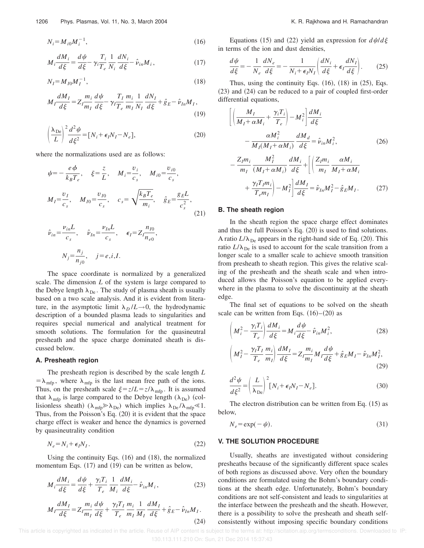$$
N_i = M_{i0} M_i^{-1},\tag{16}
$$

$$
M_i \frac{dM_i}{d\xi} = \frac{d\psi}{d\xi} - \gamma_i \frac{T_i}{T_e} \frac{1}{N_i} \frac{dN_i}{d\xi} - \hat{\nu}_{in} M_i, \qquad (17)
$$

$$
N_I = M_{I0} M_I^{-1},\tag{18}
$$

$$
M_{I} \frac{dM_{I}}{d\xi} = Z_{I} \frac{m_{i}}{m_{I}} \frac{d\psi}{d\xi} - \gamma_{I} \frac{T_{I}}{T_{e}} \frac{m_{i}}{m_{I}} \frac{1}{N_{I}} \frac{dN_{I}}{d\xi} + \hat{g}_{E} - \hat{\nu}_{In} M_{I},
$$
\n(19)

$$
\left(\frac{\lambda_{\text{De}}}{L}\right)^2 \frac{d^2 \psi}{d \xi^2} = [N_i + \epsilon_I N_I - N_e],\tag{20}
$$

where the normalizations used are as follows:

$$
\psi = -\frac{e\phi}{k_B T_e}, \quad \xi = \frac{z}{L}, \quad M_i = \frac{v_i}{c_s}, \quad M_{i0} = \frac{v_{i0}}{c_s},
$$
  

$$
M_I = \frac{v_I}{c_s}, \quad M_{I0} = \frac{v_{I0}}{c_s}, \quad c_s = \sqrt{\frac{k_B T_e}{m_i}}, \quad \hat{g}_E = \frac{g_E L}{c_s^2},
$$
  

$$
\hat{v}_{in} = \frac{v_{in} L}{c_s}, \quad \hat{v}_{In} = \frac{v_{In} L}{c_s}, \quad \epsilon_I = Z_I \frac{n_{I0}}{n_{e0}},
$$
  

$$
N_j = \frac{n_j}{n_{j0}}, \quad j = e, i, I.
$$

The space coordinate is normalized by a generalized scale. The dimension *L* of the system is large compared to the Debye length  $\lambda_{\text{De}}$ . The study of plasma sheath is usually based on a two scale analysis. And it is evident from literature, in the asymptotic limit  $\lambda_D / L \rightarrow 0$ , the hydrodynamic description of a bounded plasma leads to singularities and requires special numerical and analytical treatment for smooth solutions. The formulation for the quasineutral presheath and the space charge dominated sheath is discussed below.

#### **A. Presheath region**

The presheath region is described by the scale length *L*  $=$  $\lambda_{\text{mfp}}$ , where  $\lambda_{\text{mfp}}$  is the last mean free path of the ions. Thus, on the presheath scale  $\xi = z/L = z/\lambda_{\text{mfp}}$ . It is assumed that  $\lambda_{\text{mfp}}$  is large compared to the Debye length ( $\lambda_{\text{De}}$ ) (collisionless sheath) ( $\lambda_{\text{mfp}} \gg \lambda_{\text{De}}$ ) which implies  $\lambda_{\text{De}}/\lambda_{\text{mfp}} \ll 1$ . Thus, from the Poisson's Eq.  $(20)$  it is evident that the space charge effect is weaker and hence the dynamics is governed by quasineutrality condition

$$
N_e = N_i + \epsilon_I N_I. \tag{22}
$$

Using the continuity Eqs.  $(16)$  and  $(18)$ , the normalized momentum Eqs.  $(17)$  and  $(19)$  can be written as below,

$$
M_i \frac{dM_i}{d\xi} = \frac{d\psi}{d\xi} + \frac{\gamma_i T_i}{T_e} \frac{1}{M_i} \frac{dM_i}{d\xi} - \hat{\nu}_{in} M_i, \qquad (23)
$$

Equations (15) and (22) yield an expression for  $d\psi/d\xi$ in terms of the ion and dust densities,

$$
\frac{d\psi}{d\xi} = -\frac{1}{N_e} \frac{dN_e}{d\xi} = -\frac{1}{N_i + \epsilon_l N_l} \left( \frac{dN_i}{d\xi} + \epsilon_l \frac{dN_l}{d\xi} \right). \tag{25}
$$

Thus, using the continuity Eqs.  $(16)$ ,  $(18)$  in  $(25)$ , Eqs.  $(23)$  and  $(24)$  can be reduced to a pair of coupled first-order differential equations,

$$
\left[ \left( \frac{M_I}{M_I + \alpha M_i} + \frac{\gamma_i T_i}{T_e} \right) - M_i^2 \right] \frac{dM_i}{d\xi}
$$

$$
- \frac{\alpha M_i^2}{M_I (M_I + \alpha M_i)} \frac{dM_d}{d\xi} = \hat{\nu}_{in} M_i^2, \tag{26}
$$

$$
-\frac{Z_{I}m_{i}}{m_{I}}\frac{M_{I}^{2}}{(M_{I}+\alpha M_{i})}\frac{dM_{i}}{d\xi}+\left[\left(\frac{Z_{I}m_{i}}{m_{I}}\frac{\alpha M_{i}}{M_{I}+\alpha M_{i}}\right.\right.+\frac{\gamma_{I}T_{I}m_{i}}{T_{e}m_{I}}\right)-M_{I}^{2}\frac{dM_{I}}{d\xi}=\hat{\nu}_{In}M_{I}^{2}-\hat{g}_{E}M_{I}.
$$
 (27)

#### **B. The sheath region**

In the sheath region the space charge effect dominates and thus the full Poisson's Eq.  $(20)$  is used to find solutions. A ratio  $L/\lambda_{\text{De}}$  appears in the right-hand side of Eq. (20). This ratio  $L/\lambda_{\text{De}}$  is used to account for the scale transition from a longer scale to a smaller scale to achieve smooth transition from presheath to sheath region. This gives the relative scaling of the presheath and the sheath scale and when introduced allows the Poisson's equation to be applied everywhere in the plasma to solve the discontinuity at the sheath edge.

The final set of equations to be solved on the sheath scale can be written from Eqs.  $(16)$ – $(20)$  as

$$
\left(M_i^2 - \frac{\gamma_i T_i}{T_e}\right) \frac{dM_i}{d\xi} = M_i \frac{d\psi}{d\xi} - \hat{\nu}_{in} M_i^2,
$$
\n(28)

$$
\left(M_I^2 - \frac{\gamma_I T_I}{T_e} \frac{m_i}{m_I}\right) \frac{dM_I}{d\xi} = Z_I \frac{m_i}{m_I} M_I \frac{d\psi}{d\xi} + \hat{g}_E M_I - \hat{\nu}_{In} M_I^2,
$$
\n(29)

$$
\frac{d^2\psi}{d\xi^2} = \left(\frac{L}{\lambda_{\text{De}}}\right)^2 [N_i + \epsilon_I N_I - N_e].
$$
\n(30)

The electron distribution can be written from Eq.  $(15)$  as below,

$$
N_e = \exp(-\psi). \tag{31}
$$

#### **V. THE SOLUTION PROCEDURE**

Usually, sheaths are investigated without considering presheaths because of the significantly different space scales of both regions as discussed above. Very often the boundary conditions are formulated using the Bohm's boundary conditions at the sheath edge. Unfortunately, Bohm's boundary conditions are not self-consistent and leads to singularities at the interface between the presheath and the sheath. However, there is a possibility to solve the presheath and sheath selfconsistently without imposing specific boundary conditions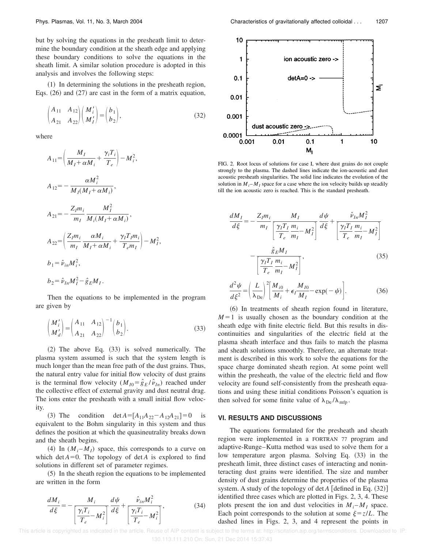but by solving the equations in the presheath limit to determine the boundary condition at the sheath edge and applying these boundary conditions to solve the equations in the sheath limit. A similar solution procedure is adopted in this analysis and involves the following steps:

 $(1)$  In determining the solutions in the presheath region, Eqs.  $(26)$  and  $(27)$  are cast in the form of a matrix equation,

$$
\begin{pmatrix} A_{11} & A_{12} \ A_{21} & A_{22} \end{pmatrix} \begin{pmatrix} M'_i \ M'_I \end{pmatrix} = \begin{pmatrix} b_1 \ b_2 \end{pmatrix},
$$
 (32)

where

$$
A_{11} = \left(\frac{M_I}{M_I + \alpha M_i} + \frac{\gamma_i T_i}{T_e}\right) - M_i^2,
$$
  
\n
$$
A_{12} = -\frac{\alpha M_i^2}{M_I (M_I + \alpha M_i)},
$$
  
\n
$$
A_{21} = -\frac{Z_I m_i}{m_I} \frac{M_I^2}{M_i (M_I + \alpha M_i)},
$$
  
\n
$$
A_{22} = \left(\frac{Z_I m_i}{m_I} \frac{\alpha M_i}{M_I + \alpha M_i} + \frac{\gamma_I T_I m_i}{T_e m_I}\right) - M_I^2,
$$
  
\n
$$
b_1 = \hat{\nu}_{in} M_i^2,
$$
  
\n
$$
b_2 = \hat{\nu}_{In} M_I^2 - \hat{g}_E M_I.
$$

Then the equations to be implemented in the program are given by

$$
\begin{pmatrix} M'_i \\ M'_d \end{pmatrix} = \begin{pmatrix} A_{11} & A_{12} \\ A_{21} & A_{22} \end{pmatrix}^{-1} \begin{pmatrix} b_1 \\ b_2 \end{pmatrix}.
$$
 (33)

 $(2)$  The above Eq.  $(33)$  is solved numerically. The plasma system assumed is such that the system length is much longer than the mean free path of the dust grains. Thus, the natural entry value for initial flow velocity of dust grains is the terminal flow velocity  $(M_{I0} = \hat{g}_E / \hat{v}_{In})$  reached under the collective effect of external gravity and dust neutral drag. The ions enter the presheath with a small initial flow velocity.

(3) The condition det  $A = [A_{11}A_{22} - A_{12}A_{21}] = 0$  is equivalent to the Bohm singularity in this system and thus defines the position at which the quasineutrality breaks down and the sheath begins.

(4) In  $(M_i-M_i)$  space, this corresponds to a curve on which det  $A=0$ . The topology of det *A* is explored to find solutions in different set of parameter regimes.

 $(5)$  In the sheath region the equations to be implemented are written in the form

$$
\frac{dM_i}{d\xi} = -\frac{M_i}{\left[\frac{\gamma_i T_i}{T_e} - M_i^2\right]} \frac{d\psi}{d\xi} + \frac{\hat{\nu}_{in} M_i^2}{\left[\frac{\gamma_i T_i}{T_e} - M_i^2\right]},\tag{34}
$$



FIG. 2. Root locus of solutions for case I, where dust grains do not couple strongly to the plasma. The dashed lines indicate the ion-acoustic and dust acoustic presheath singularities. The solid line indicates the evolution of the solution in  $M_i - M_I$  space for a case where the ion velocity builds up steadily till the ion acoustic zero is reached. This is the standard presheath.

$$
\frac{dM_I}{d\xi} = -\frac{Z_I m_i}{m_I} \frac{M_I}{\left[\frac{\gamma_I T_I m_i}{T_e} m_I^{-1} M_I^2\right]} \frac{d\psi}{d\xi} + \frac{\hat{\nu}_{In} M_I^2}{\left[\frac{\gamma_I T_I m_i}{T_e} m_I^{-1} M_I^2\right]}
$$
\n
$$
-\frac{\hat{g}_E M_I}{\left[\frac{\gamma_I T_I m_i}{T_e} m_I^{-1} M_I^2\right]},
$$
\n(35)

$$
\frac{d^2\psi}{d\xi^2} = \left(\frac{L}{\lambda_{\text{De}}}\right)^2 \left[\frac{M_{i0}}{M_i} + \epsilon_I \frac{M_{I0}}{M_I} - \exp(-\psi)\right].\tag{36}
$$

 $(6)$  In treatments of sheath region found in literature,  $M=1$  is usually chosen as the boundary condition at the sheath edge with finite electric field. But this results in discontinuities and singularities of the electric field at the plasma sheath interface and thus fails to match the plasma and sheath solutions smoothly. Therefore, an alternate treatment is described in this work to solve the equations for the space charge dominated sheath region. At some point well within the presheath, the value of the electric field and flow velocity are found self-consistently from the presheath equations and using these initial conditions Poisson's equation is then solved for some finite value of  $\lambda_{\text{De}}/\lambda_{\text{mfn}}$ .

#### **VI. RESULTS AND DISCUSSIONS**

The equations formulated for the presheath and sheath region were implemented in a FORTRAN 77 program and adaptive-Runge–Kutta method was used to solve them for a low temperature argon plasma. Solving Eq.  $(33)$  in the presheath limit, three distinct cases of interacting and noninteracting dust grains were identified. The size and number density of dust grains determine the properties of the plasma system. A study of the topology of det *A*  $\left[$  defined in Eq.  $(32)$ identified three cases which are plotted in Figs. 2, 3, 4. These plots present the ion and dust velocities in  $M_i - M_j$  space. Each point corresponds to the solution at some  $\xi = z/L$ . The dashed lines in Figs. 2, 3, and 4 represent the points in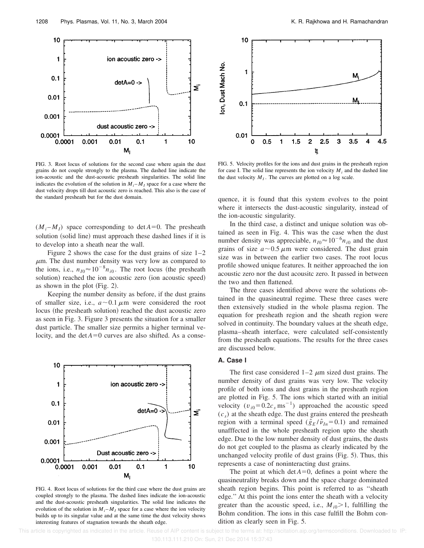

FIG. 3. Root locus of solutions for the second case where again the dust grains do not couple strongly to the plasma. The dashed line indicate the ion-acoustic and the dust-acoustic presheath singularities. The solid line indicates the evolution of the solution in  $M_i - M_j$  space for a case where the dust velocity drops till dust acoustic zero is reached. This also is the case of the standard presheath but for the dust domain.

 $(M_i-M_i)$  space corresponding to det  $A=0$ . The presheath solution (solid line) must approach these dashed lines if it is to develop into a sheath near the wall.

Figure 2 shows the case for the dust grains of size  $1-2$  $\mu$ m. The dust number density was very low as compared to the ions, i.e.,  $n_{I0} \approx 10^{-8} n_{i0}$ . The root locus (the presheath solution) reached the ion acoustic zero (ion acoustic speed) as shown in the plot  $(Fig. 2)$ .

Keeping the number density as before, if the dust grains of smaller size, i.e.,  $a \sim 0.1 \mu m$  were considered the root locus (the presheath solution) reached the dust acoustic zero as seen in Fig. 3. Figure 3 presents the situation for a smaller dust particle. The smaller size permits a higher terminal velocity, and the  $det A=0$  curves are also shifted. As a conse-



FIG. 4. Root locus of solutions for the third case where the dust grains are coupled strongly to the plasma. The dashed lines indicate the ion-acoustic and the dust-acoustic presheath singularities. The solid line indicates the evolution of the solution in  $M_i - M_I$  space for a case where the ion velocity builds up to its singular value and at the same time the dust velocity shows interesting features of stagnation towards the sheath edge.



FIG. 5. Velocity profiles for the ions and dust grains in the presheath region for case I. The solid line represents the ion velocity  $M_i$  and the dashed line the dust velocity  $M_I$ . The curves are plotted on a log scale.

quence, it is found that this system evolves to the point where it intersects the dust-acoustic singularity, instead of the ion-acoustic singularity.

In the third case, a distinct and unique solution was obtained as seen in Fig. 4. This was the case when the dust number density was appreciable,  $n_{I0} \approx 10^{-6} n_{i0}$  and the dust grains of size  $a \sim 0.5 \mu m$  were considered. The dust grain size was in between the earlier two cases. The root locus profile showed unique features. It neither approached the ion acoustic zero nor the dust acousitc zero. It passed in between the two and then flattened.

The three cases identified above were the solutions obtained in the quasineutral regime. These three cases were then extensively studied in the whole plasma region. The equation for presheath region and the sheath region were solved in continuity. The boundary values at the sheath edge, plasma–sheath interface, were calculated self-consistently from the presheath equations. The results for the three cases are discussed below.

### **A. Case I**

The first case considered  $1-2 \mu m$  sized dust grains. The number density of dust grains was very low. The velocity profile of both ions and dust grains in the presheath region are plotted in Fig. 5. The ions which started with an initial velocity  $(v_{i0} = 0.2c_s \text{ ms}^{-1})$  approached the acoustic speed (*c<sup>s</sup>* ) at the sheath edge. The dust grains entered the presheath region with a terminal speed  $(\hat{g}_E / \hat{\nu}_{In} = 0.1)$  and remained unafffected in the whole presheath region upto the sheath edge. Due to the low number density of dust grains, the dusts do not get coupled to the plasma as clearly indicated by the unchanged velocity profile of dust grains  $(Fig. 5)$ . Thus, this represents a case of noninteracting dust grains.

The point at which  $\det A=0$ , defines a point where the quasineutrality breaks down and the space charge dominated sheath region begins. This point is referred to as ''sheath edge.'' At this point the ions enter the sheath with a velocity greater than the acoustic speed, i.e.,  $M_{i0} > 1$ , fulfilling the Bohm condition. The ions in this case fulfill the Bohm condition as clearly seen in Fig. 5.

This article is copyrighted as indicated in the article. Reuse of AIP content is subject to the terms at: http://scitation.aip.org/termsconditions. Downloaded to IP: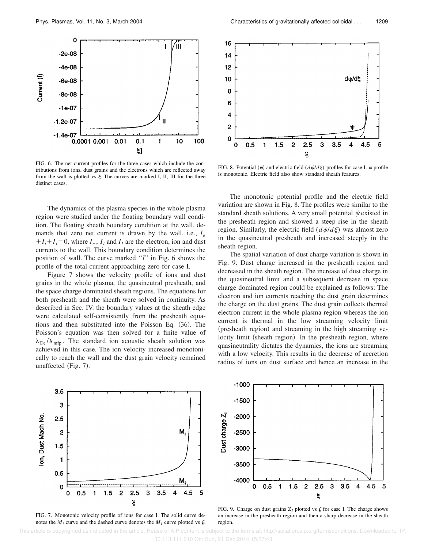

FIG. 6. The net current profiles for the three cases which include the contributions from ions, dust grains and the electrons which are reflected away from the wall is plotted vs  $\xi$ . The curves are marked I, II, III for the three distinct cases.

The dynamics of the plasma species in the whole plasma region were studied under the floating boundary wall condition. The floating sheath boundary condition at the wall, demands that zero net current is drawn by the wall, i.e.,  $I_e$  $+I_i+I_j=0$ , where  $I_e$ ,  $I_i$  and  $I_j$  are the electron, ion and dust currents to the wall. This boundary condition determines the position of wall. The curve marked ''*I*'' in Fig. 6 shows the profile of the total current approaching zero for case I.

Figure 7 shows the velocity profile of ions and dust grains in the whole plasma, the quasineutral presheath, and the space charge dominated sheath regions. The equations for both presheath and the sheath were solved in continuity. As described in Sec. IV. the boundary values at the sheath edge were calculated self-consistently from the presheath equations and then substituted into the Poisson Eq.  $(36)$ . The Poisson's equation was then solved for a finite value of  $\lambda_{De}/\lambda_{mfp}$ . The standard ion acoustic sheath solution was achieved in this case. The ion velocity increased monotonically to reach the wall and the dust grain velocity remained unaffected  $(Fig. 7)$ .



FIG. 8. Potential  $(\psi)$  and electric field  $(d\psi/d\xi)$  profiles for case I.  $\psi$  profile is monotonic. Electric field also show standard sheath features.

The monotonic potential profile and the electric field variation are shown in Fig. 8. The profiles were similar to the standard sheath solutions. A very small potential  $\psi$  existed in the presheath region and showed a steep rise in the sheath region. Similarly, the electric field  $(d\psi/d\xi)$  was almost zero in the quasineutral presheath and increased steeply in the sheath region.

The spatial variation of dust charge variation is shown in Fig. 9. Dust charge increased in the presheath region and decreased in the sheath region. The increase of dust charge in the quasineutral limit and a subsequent decrease in space charge dominated region could be explained as follows: The electron and ion currents reaching the dust grain determines the charge on the dust grains. The dust grain collects thermal electron current in the whole plasma region whereas the ion current is thermal in the low streaming velocity limit (presheath region) and streaming in the high streaming velocity limit (sheath region). In the presheath region, where quasineutrality dictates the dynamics, the ions are streaming with a low velocity. This results in the decrease of accretion radius of ions on dust surface and hence an increase in the



FIG. 7. Monotonic velocity profile of ions for case I. The solid curve denotes the  $M_i$  curve and the dashed curve denotes the  $M_i$  curve plotted vs  $\xi$ .



FIG. 9. Charge on dust grains  $Z_I$  plotted vs  $\xi$  for case I. The charge shows an increase in the presheath region and then a sharp decrease in the sheath region.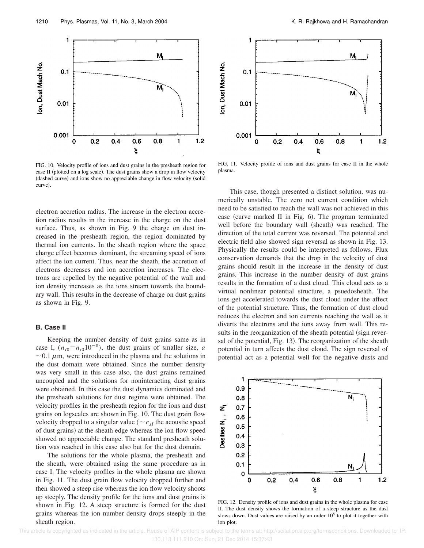

FIG. 10. Velocity profile of ions and dust grains in the presheath region for case II (plotted on a log scale). The dust grains show a drop in flow velocity (dashed curve) and ions show no appreciable change in flow velocity (solid curve).

electron accretion radius. The increase in the electron accretion radius results in the increase in the charge on the dust surface. Thus, as shown in Fig. 9 the charge on dust increased in the presheath region, the region dominated by thermal ion currents. In the sheath region where the space charge effect becomes dominant, the streaming speed of ions affect the ion current. Thus, near the sheath, the accretion of electrons decreases and ion accretion increases. The electrons are repelled by the negative potential of the wall and ion density increases as the ions stream towards the boundary wall. This results in the decrease of charge on dust grains as shown in Fig. 9.

### **B. Case II**

Keeping the number density of dust grains same as in case I,  $(n_{I0} = n_{i0}10^{-8})$ , the dust grains of smaller size, *a*  $\sim$  0.1  $\mu$ m, were introduced in the plasma and the solutions in the dust domain were obtained. Since the number density was very small in this case also, the dust grains remained uncoupled and the solutions for noninteracting dust grains were obtained. In this case the dust dynamics dominated and the presheath solutions for dust regime were obtained. The velocity profiles in the presheath region for the ions and dust grains on logscales are shown in Fig. 10. The dust grain flow velocity dropped to a singular value ( $\sim c_{sI}$  the acoustic speed of dust grains) at the sheath edge whereas the ion flow speed showed no appreciable change. The standard presheath solution was reached in this case also but for the dust domain.

The solutions for the whole plasma, the presheath and the sheath, were obtained using the same procedure as in case I. The velocity profiles in the whole plasma are shown in Fig. 11. The dust grain flow velocity dropped further and then showed a steep rise whereas the ion flow velocity shoots up steeply. The density profile for the ions and dust grains is shown in Fig. 12. A steep structure is formed for the dust grains whereas the ion number density drops steeply in the sheath region.



FIG. 11. Velocity profile of ions and dust grains for case II in the whole plasma.

This case, though presented a distinct solution, was numerically unstable. The zero net current condition which need to be satisfied to reach the wall was not achieved in this case (curve marked II in Fig.  $6$ ). The program terminated well before the boundary wall (sheath) was reached. The direction of the total current was reversed. The potential and electric field also showed sign reversal as shown in Fig. 13. Physically the results could be interpreted as follows. Flux conservation demands that the drop in the velocity of dust grains should result in the increase in the density of dust grains. This increase in the number density of dust grains results in the formation of a dust cloud. This cloud acts as a virtual nonlinear potential structure, a psuedosheath. The ions get accelerated towards the dust cloud under the affect of the potential structure. Thus, the formation of dust cloud reduces the electron and ion currents reaching the wall as it diverts the electrons and the ions away from wall. This results in the reorganization of the sheath potential (sign reversal of the potential, Fig. 13). The reorganization of the sheath potential in turn affects the dust cloud. The sign reversal of potential act as a potential well for the negative dusts and



FIG. 12. Density profile of ions and dust grains in the whole plasma for case II. The dust density shows the formation of a steep structure as the dust slows down. Dust values are raised by an order  $10<sup>8</sup>$  to plot it together with ion plot.

This article is copyrighted as indicated in the article. Reuse of AIP content is subject to the terms at: http://scitation.aip.org/termsconditions. Downloaded to IP: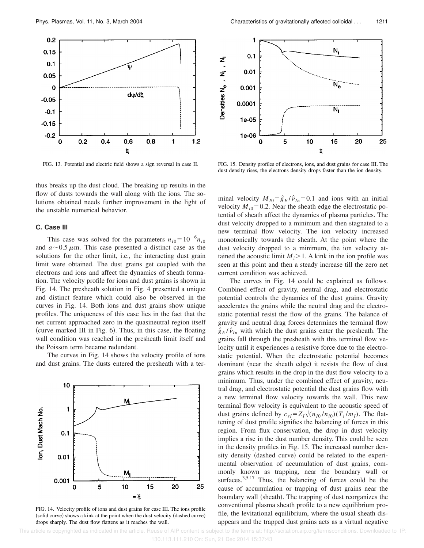

FIG. 13. Potential and electric field shows a sign reversal in case II.

thus breaks up the dust cloud. The breaking up results in the flow of dusts towards the wall along with the ions. The solutions obtained needs further improvement in the light of the unstable numerical behavior.

#### **C. Case III**

This case was solved for the parameters  $n_{I0} = 10^{-6} n_{i0}$ and  $a \sim 0.5 \mu$ m. This case presented a distinct case as the solutions for the other limit, i.e., the interacting dust grain limit were obtained. The dust grains get coupled with the electrons and ions and affect the dynamics of sheath formation. The velocity profile for ions and dust grains is shown in Fig. 14. The presheath solution in Fig. 4 presented a unique and distinct feature which could also be observed in the curves in Fig. 14. Both ions and dust grains show unique profiles. The uniqueness of this case lies in the fact that the net current approached zero in the quasineutral region itself  $(curve$  marked III in Fig.  $6$ ). Thus, in this case, the floating wall condition was reached in the presheath limit itself and the Poisson term became redundant.

The curves in Fig. 14 shows the velocity profile of ions and dust grains. The dusts entered the presheath with a ter-



FIG. 14. Velocity profile of ions and dust grains for case III. The ions profile (solid curve) shows a kink at the point when the dust velocity (dashed curve) drops sharply. The dust flow flattens as it reaches the wall.



FIG. 15. Density profiles of electrons, ions, and dust grains for case III. The dust density rises, the electrons density drops faster than the ion density.

minal velocity  $M_{I0} = \hat{g}_E / \hat{v}_{In} = 0.1$  and ions with an initial velocity  $M_{i0}$ =0.2. Near the sheath edge the electrostatic potential of sheath affect the dynamics of plasma particles. The dust velocity dropped to a minimum and then stagnated to a new terminal flow velocity. The ion velocity increased monotonically towards the sheath. At the point where the dust velocity dropped to a minimum, the ion velocity attained the acoustic limit  $M_i > 1$ . A kink in the ion profile was seen at this point and then a steady increase till the zero net current condition was achieved.

The curves in Fig. 14 could be explained as follows. Combined effect of gravity, neutral drag, and electrostatic potential controls the dynamics of the dust grains. Gravity accelerates the grains while the neutral drag and the electrostatic potential resist the flow of the grains. The balance of gravity and neutral drag forces determines the terminal flow  $\hat{g}_E/\hat{\nu}_{In}$  with which the dust grains enter the presheath. The grains fall through the presheath with this terminal flow velocity until it experiences a resistive force due to the electrostatic potential. When the electrostatic potential becomes dominant (near the sheath edge) it resists the flow of dust grains which results in the drop in the dust flow velocity to a minimum. Thus, under the combined effect of gravity, neutral drag, and electrostatic potential the dust grains flow with a new terminal flow velocity towards the wall. This new terminal flow velocity is equivalent to the acoustic speed of dust grains defined by  $c_{sI} = Z_I \sqrt{(n_{I0}/n_{i0})(T_i/m_I)}$ . The flattening of dust profile signifies the balancing of forces in this region. From flux conservation, the drop in dust velocity implies a rise in the dust number density. This could be seen in the density profiles in Fig. 15. The increased number density density (dashed curve) could be related to the experimental observation of accumulation of dust grains, commonly known as trapping, near the boundary wall or surfaces.<sup>3,5,17</sup> Thus, the balancing of forces could be the cause of accumulation or trapping of dust grains near the boundary wall (sheath). The trapping of dust reorganizes the conventional plasma sheath profile to a new equilibrium profile, the levitational equilibrium, where the usual sheath disappears and the trapped dust grains acts as a virtual negative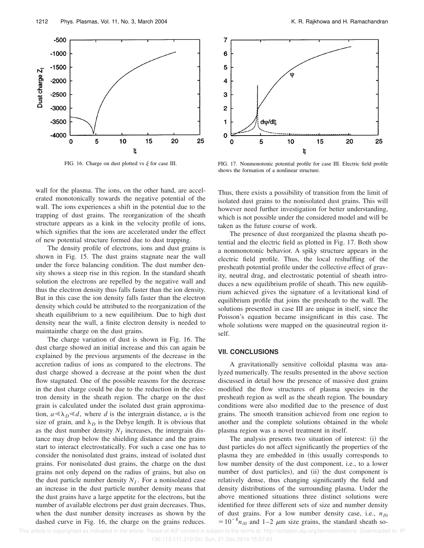

wall for the plasma. The ions, on the other hand, are accelerated monotonically towards the negative potential of the wall. The ions experiences a shift in the potential due to the trapping of dust grains. The reorganization of the sheath structure appears as a kink in the velocity profile of ions, which signifies that the ions are accelerated under the effect of new potential structure formed due to dust trapping.

The density profile of electrons, ions and dust grains is shown in Fig. 15. The dust grains stagnate near the wall under the force balancing condition. The dust number density shows a steep rise in this region. In the standard sheath solution the electrons are repelled by the negative wall and thus the electron density thus falls faster than the ion density. But in this case the ion density falls faster than the electron density which could be attributed to the reorganization of the sheath equilibrium to a new equilibrium. Due to high dust density near the wall, a finite electron density is needed to maintainthe charge on the dust grains.

The charge variation of dust is shown in Fig. 16. The dust charge showed an initial increase and this can again be explained by the previous arguments of the decrease in the accretion radius of ions as compared to the electrons. The dust charge showed a decrease at the point when the dust flow stagnated. One of the possible reasons for the decrease in the dust charge could be due to the reduction in the electron density in the sheath region. The charge on the dust grain is calculated under the isolated dust grain approximation,  $a \ll \lambda_p \ll d$ , where *d* is the intergrain distance, *a* is the size of grain, and  $\lambda_D$  is the Debye length. It is obvious that as the dust number density  $N_I$  increases, the intergrain distance may drop below the shielding distance and the grains start to interact electrostatically. For such a case one has to consider the nonisolated dust grains, instead of isolated dust grains. For nonisolated dust grains, the charge on the dust grains not only depend on the radius of grains, but also on the dust particle number density  $N_I$ . For a nonisolated case an increase in the dust particle number density means that the dust grains have a large appetite for the electrons, but the number of available electrons per dust grain decreases. Thus, when the dust number density increases as shown by the dashed curve in Fig. 16, the charge on the grains reduces.



FIG. 16. Charge on dust plotted vs  $\xi$  for case III. FIG. 17. Nonmonotonic potential profile for case III. Electric field profile shows the formation of a nonlinear structure.

Thus, there exists a possibility of transition from the limit of isolated dust grains to the nonisolated dust grains. This will however need further investigation for better understanding, which is not possible under the considered model and will be taken as the future course of work.

The presence of dust reorganized the plasma sheath potential and the electric field as plotted in Fig. 17. Both show a nonmonotonic behavior. A spiky structure appears in the electric field profile. Thus, the local reshuffling of the presheath potential profile under the collective effect of gravity, neutral drag, and electrostatic potential of sheath introduces a new equilibrium profile of sheath. This new equilibrium achieved gives the signature of a levitational kind of equilibrium profile that joins the presheath to the wall. The solutions presented in case III are unique in itself, since the Poisson's equation became insignificant in this case. The whole solutions were mapped on the quasineutral region itself.

#### **VII. CONCLUSIONS**

A gravitationally sensitive colloidal plasma was analyzed numerically. The results presented in the above section discussed in detail how the presence of massive dust grains modified the flow structures of plasma species in the presheath region as well as the sheath region. The boundary conditions were also modified due to the presence of dust grains. The smooth transition achieved from one region to another and the complete solutions obtained in the whole plasma region was a novel treatment in itself.

The analysis presents two situation of interest:  $(i)$  the dust particles do not affect significantly the properties of the plasma they are embedded in (this usually corresponds to low number density of the dust component, i.e., to a lower number of dust particles), and (ii) the dust component is relatively dense, thus changing significantly the field and density distributions of the surrounding plasma. Under the above mentioned situations three distinct solutions were identified for three different sets of size and number density of dust grains. For a low number density case, i.e., *nI*<sup>0</sup>  $=10^{-8} n_{i0}$  and 1–2  $\mu$ m size grains, the standard sheath so